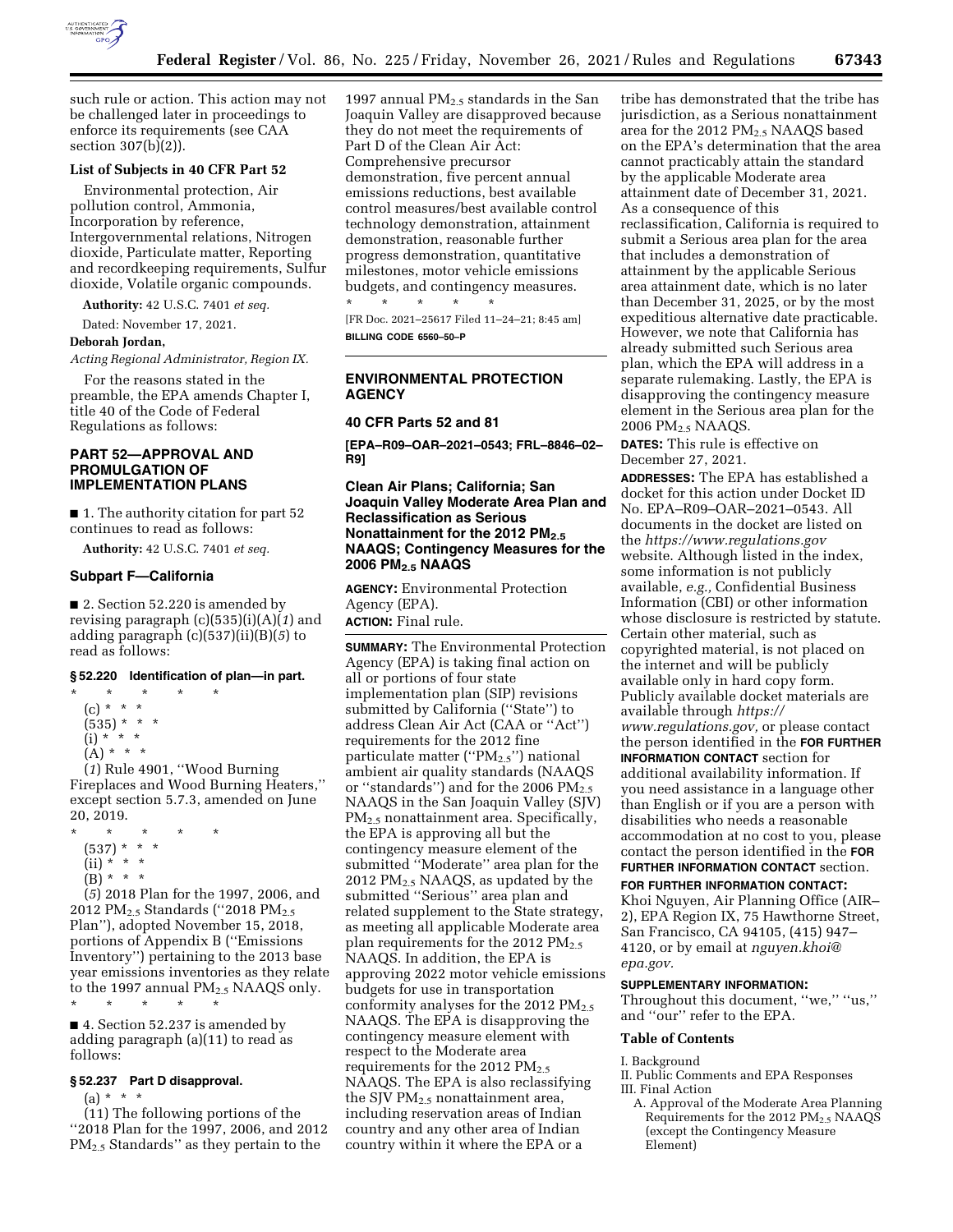

such rule or action. This action may not be challenged later in proceedings to enforce its requirements (see CAA section 307(b)(2)).

# **List of Subjects in 40 CFR Part 52**

Environmental protection, Air pollution control, Ammonia, Incorporation by reference, Intergovernmental relations, Nitrogen dioxide, Particulate matter, Reporting and recordkeeping requirements, Sulfur dioxide, Volatile organic compounds.

**Authority:** 42 U.S.C. 7401 *et seq.* 

Dated: November 17, 2021.

#### **Deborah Jordan,**

*Acting Regional Administrator, Region IX.* 

For the reasons stated in the preamble, the EPA amends Chapter I, title 40 of the Code of Federal Regulations as follows:

## **PART 52—APPROVAL AND PROMULGATION OF IMPLEMENTATION PLANS**

■ 1. The authority citation for part 52 continues to read as follows:

**Authority:** 42 U.S.C. 7401 *et seq.* 

#### **Subpart F—California**

■ 2. Section 52.220 is amended by revising paragraph (c)(535)(i)(A)(*1*) and adding paragraph (c)(537)(ii)(B)(*5*) to read as follows:

#### **§ 52.220 Identification of plan—in part.**

- \* \* \* \* \* (c) \* \* \*
	- (535) \* \* \*
	- (i) \* \* \*
	- $(A) * * * *$

(*1*) Rule 4901, ''Wood Burning Fireplaces and Wood Burning Heaters,'' except section 5.7.3, amended on June 20, 2019.

\* \* \* \* \* (537) \* \* \* (ii) \* \* \*  $(B) * * * *$ 

(*5*) 2018 Plan for the 1997, 2006, and 2012 PM<sub>2.5</sub> Standards ("2018 PM<sub>2.5</sub> Plan''), adopted November 15, 2018, portions of Appendix B (''Emissions Inventory'') pertaining to the 2013 base year emissions inventories as they relate to the 1997 annual  $PM_{2.5}$  NAAQS only.

■ 4. Section 52.237 is amended by adding paragraph (a)(11) to read as follows:

#### **§ 52.237 Part D disapproval.**

\* \* \* \* \*

(a) \* \* \*

(11) The following portions of the ''2018 Plan for the 1997, 2006, and 2012 PM2.5 Standards'' as they pertain to the

1997 annual  $\mathrm{PM}_{2.5}$  standards in the San Joaquin Valley are disapproved because they do not meet the requirements of Part D of the Clean Air Act: Comprehensive precursor demonstration, five percent annual emissions reductions, best available control measures/best available control technology demonstration, attainment demonstration, reasonable further progress demonstration, quantitative milestones, motor vehicle emissions budgets, and contingency measures.

[FR Doc. 2021–25617 Filed 11–24–21; 8:45 am] **BILLING CODE 6560–50–P** 

## **ENVIRONMENTAL PROTECTION AGENCY**

#### **40 CFR Parts 52 and 81**

\* \* \* \* \*

**[EPA–R09–OAR–2021–0543; FRL–8846–02– R9]** 

## **Clean Air Plans; California; San Joaquin Valley Moderate Area Plan and Reclassification as Serious Nonattainment for the 2012 PM2.5 NAAQS; Contingency Measures for the 2006 PM2.5 NAAQS**

**AGENCY:** Environmental Protection Agency (EPA). **ACTION:** Final rule.

**SUMMARY:** The Environmental Protection Agency (EPA) is taking final action on all or portions of four state implementation plan (SIP) revisions submitted by California ("State") to address Clean Air Act (CAA or ''Act'') requirements for the 2012 fine particulate matter ("PM<sub>2.5</sub>") national ambient air quality standards (NAAQS or "standards") and for the 2006  $PM_{2.5}$ NAAQS in the San Joaquin Valley (SJV) PM2.5 nonattainment area. Specifically, the EPA is approving all but the contingency measure element of the submitted ''Moderate'' area plan for the 2012 PM2.5 NAAQS, as updated by the submitted ''Serious'' area plan and related supplement to the State strategy, as meeting all applicable Moderate area plan requirements for the 2012  $PM_{2.5}$ NAAQS. In addition, the EPA is approving 2022 motor vehicle emissions budgets for use in transportation conformity analyses for the 2012  $PM_{2.5}$ NAAQS. The EPA is disapproving the contingency measure element with respect to the Moderate area requirements for the 2012  $PM_{2.5}$ NAAQS. The EPA is also reclassifying the SJV PM2.5 nonattainment area, including reservation areas of Indian country and any other area of Indian country within it where the EPA or a

tribe has demonstrated that the tribe has jurisdiction, as a Serious nonattainment area for the 2012  $PM_{2.5}$  NAAQS based on the EPA's determination that the area cannot practicably attain the standard by the applicable Moderate area attainment date of December 31, 2021. As a consequence of this reclassification, California is required to submit a Serious area plan for the area that includes a demonstration of attainment by the applicable Serious area attainment date, which is no later than December 31, 2025, or by the most expeditious alternative date practicable. However, we note that California has already submitted such Serious area plan, which the EPA will address in a separate rulemaking. Lastly, the EPA is disapproving the contingency measure element in the Serious area plan for the 2006 PM2.5 NAAQS.

**DATES:** This rule is effective on December 27, 2021.

**ADDRESSES:** The EPA has established a docket for this action under Docket ID No. EPA–R09–OAR–2021–0543. All documents in the docket are listed on the *<https://www.regulations.gov>* website. Although listed in the index, some information is not publicly available, *e.g.,* Confidential Business Information (CBI) or other information whose disclosure is restricted by statute. Certain other material, such as copyrighted material, is not placed on the internet and will be publicly available only in hard copy form. Publicly available docket materials are available through *[https://](https://www.regulations.gov) [www.regulations.gov,](https://www.regulations.gov)* or please contact the person identified in the **FOR FURTHER INFORMATION CONTACT** section for additional availability information. If you need assistance in a language other than English or if you are a person with disabilities who needs a reasonable accommodation at no cost to you, please contact the person identified in the **FOR FURTHER INFORMATION CONTACT** section.

**FOR FURTHER INFORMATION CONTACT:**  Khoi Nguyen, Air Planning Office (AIR– 2), EPA Region IX, 75 Hawthorne Street, San Francisco, CA 94105, (415) 947– 4120, or by email at *[nguyen.khoi@](mailto:nguyen.khoi@epa.gov) [epa.gov.](mailto:nguyen.khoi@epa.gov)* 

#### **SUPPLEMENTARY INFORMATION:**

Throughout this document, "we," "us," and ''our'' refer to the EPA.

#### **Table of Contents**

I. Background

II. Public Comments and EPA Responses III. Final Action

A. Approval of the Moderate Area Planning Requirements for the 2012  $PM<sub>2.5</sub> NAAQS$ (except the Contingency Measure Element)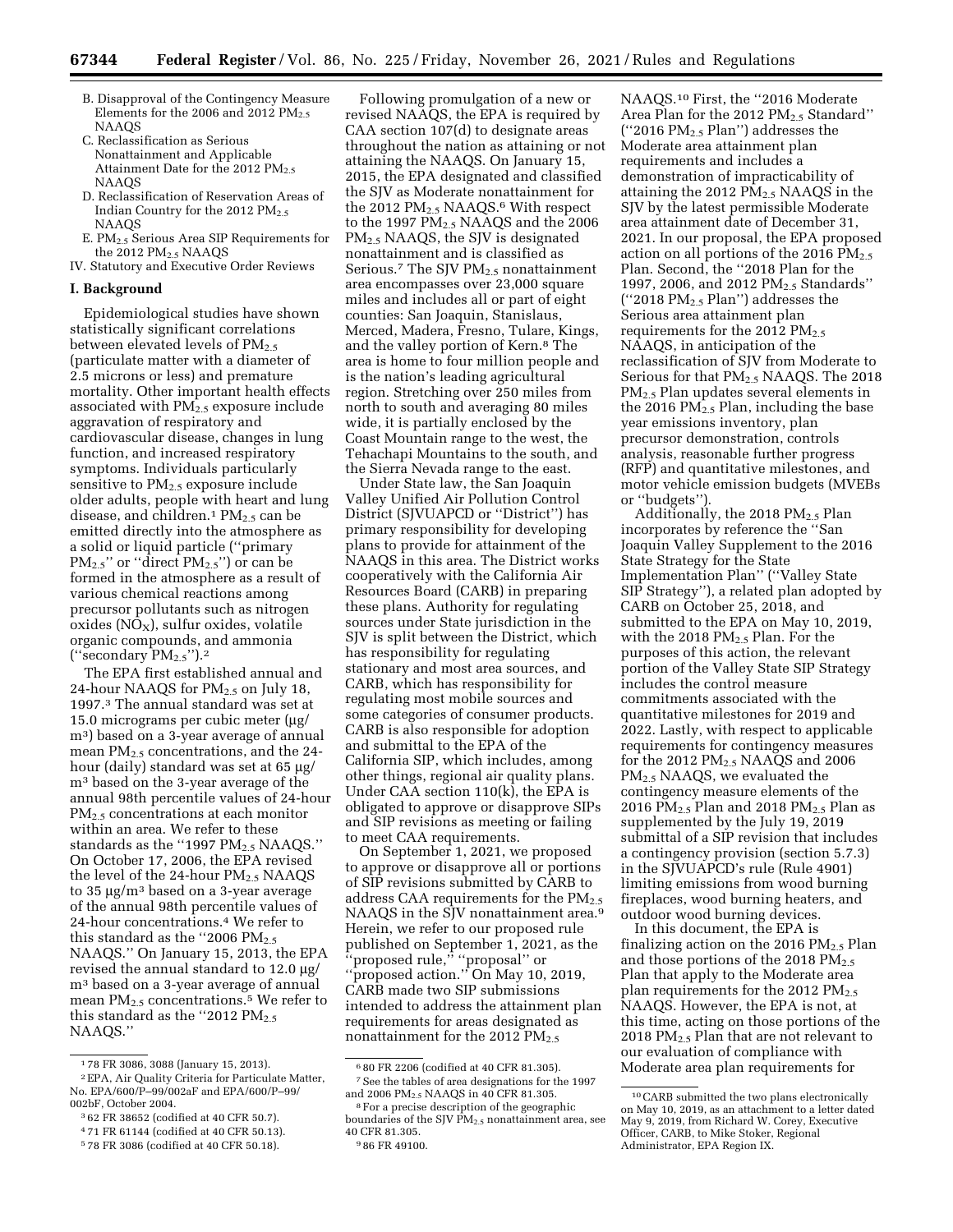- B. Disapproval of the Contingency Measure Elements for the 2006 and 2012  $PM_{2.5}$ NAAQS
- C. Reclassification as Serious Nonattainment and Applicable Attainment Date for the 2012  $PM_{2.5}$ NAAQS
- D. Reclassification of Reservation Areas of Indian Country for the 2012 PM<sub>2.5</sub> NAAQS
- E. PM2.5 Serious Area SIP Requirements for the 2012 PM<sub>2.5</sub> NAAQS
- IV. Statutory and Executive Order Reviews

#### **I. Background**

Epidemiological studies have shown statistically significant correlations between elevated levels of  $PM_{2.5}$ (particulate matter with a diameter of 2.5 microns or less) and premature mortality. Other important health effects associated with  $PM_{2.5}$  exposure include aggravation of respiratory and cardiovascular disease, changes in lung function, and increased respiratory symptoms. Individuals particularly sensitive to PM2.5 exposure include older adults, people with heart and lung disease, and children.<sup>1</sup>  $PM_{2.5}$  can be emitted directly into the atmosphere as a solid or liquid particle (''primary  $PM_{2.5}$ " or "direct  $PM_{2.5}$ ") or can be formed in the atmosphere as a result of various chemical reactions among precursor pollutants such as nitrogen  $oxides (NO<sub>X</sub>), sulfur oxides, volatile$ organic compounds, and ammonia ("secondary  $PM_{2.5}$ ").<sup>2</sup>

The EPA first established annual and 24-hour NAAQS for  $PM_{2.5}$  on July 18, 1997.3 The annual standard was set at 15.0 micrograms per cubic meter  $\mu$ g/ m3) based on a 3-year average of annual mean  $PM_{2.5}$  concentrations, and the 24hour (daily) standard was set at 65 µg/ m3 based on the 3-year average of the annual 98th percentile values of 24-hour PM2.5 concentrations at each monitor within an area. We refer to these standards as the "1997 PM<sub>2.5</sub> NAAQS." On October 17, 2006, the EPA revised the level of the 24-hour  $PM_{2.5}$  NAAQS to  $35 \mu$ g/m<sup>3</sup> based on a 3-year average of the annual 98th percentile values of 24-hour concentrations.4 We refer to this standard as the "2006  $PM_{2.5}$ NAAQS.'' On January 15, 2013, the EPA revised the annual standard to 12.0 mg/ m3 based on a 3-year average of annual mean  $PM_{2.5}$  concentrations.<sup>5</sup> We refer to this standard as the "2012  $PM_{2.5}$ NAAQS.''

Following promulgation of a new or revised NAAQS, the EPA is required by CAA section 107(d) to designate areas throughout the nation as attaining or not attaining the NAAQS. On January 15, 2015, the EPA designated and classified the SJV as Moderate nonattainment for the 2012  $PM_{2.5}$  NAAQS.<sup>6</sup> With respect to the 1997 PM<sub>2.5</sub> NAAQS and the 2006 PM2.5 NAAQS, the SJV is designated nonattainment and is classified as Serious.<sup>7</sup> The SJV  $PM_{2.5}$  nonattainment area encompasses over 23,000 square miles and includes all or part of eight counties: San Joaquin, Stanislaus, Merced, Madera, Fresno, Tulare, Kings, and the valley portion of Kern.8 The area is home to four million people and is the nation's leading agricultural region. Stretching over 250 miles from north to south and averaging 80 miles wide, it is partially enclosed by the Coast Mountain range to the west, the Tehachapi Mountains to the south, and the Sierra Nevada range to the east.

Under State law, the San Joaquin Valley Unified Air Pollution Control District (SJVUAPCD or ''District'') has primary responsibility for developing plans to provide for attainment of the NAAQS in this area. The District works cooperatively with the California Air Resources Board (CARB) in preparing these plans. Authority for regulating sources under State jurisdiction in the SJV is split between the District, which has responsibility for regulating stationary and most area sources, and CARB, which has responsibility for regulating most mobile sources and some categories of consumer products. CARB is also responsible for adoption and submittal to the EPA of the California SIP, which includes, among other things, regional air quality plans. Under CAA section 110(k), the EPA is obligated to approve or disapprove SIPs and SIP revisions as meeting or failing to meet CAA requirements.

On September 1, 2021, we proposed to approve or disapprove all or portions of SIP revisions submitted by CARB to address CAA requirements for the  $PM<sub>2.5</sub>$ NAAQS in the SJV nonattainment area.<sup>9</sup> Herein, we refer to our proposed rule published on September 1, 2021, as the ''proposed rule,'' ''proposal'' or ''proposed action.'' On May 10, 2019, CARB made two SIP submissions intended to address the attainment plan requirements for areas designated as nonattainment for the 2012  $PM_{2.5}$ 

9 86 FR 49100.

NAAQS.10 First, the ''2016 Moderate Area Plan for the 2012 PM<sub>2.5</sub> Standard'' ("2016  $PM_{2.5}$  Plan") addresses the Moderate area attainment plan requirements and includes a demonstration of impracticability of attaining the 2012  $PM<sub>2.5</sub> NAAQS$  in the SJV by the latest permissible Moderate area attainment date of December 31, 2021. In our proposal, the EPA proposed action on all portions of the 2016  $PM_{2.5}$ Plan. Second, the ''2018 Plan for the 1997, 2006, and 2012 PM<sub>2.5</sub> Standards" ("2018  $PM_{2.5}$  Plan") addresses the Serious area attainment plan requirements for the 2012  $PM_{2.5}$ NAAQS, in anticipation of the reclassification of SJV from Moderate to Serious for that PM<sub>2.5</sub> NAAQS. The 2018 PM2.5 Plan updates several elements in the 2016 PM2.5 Plan, including the base year emissions inventory, plan precursor demonstration, controls analysis, reasonable further progress (RFP) and quantitative milestones, and motor vehicle emission budgets (MVEBs or ''budgets'').

Additionally, the 2018  $PM<sub>2.5</sub>$  Plan incorporates by reference the ''San Joaquin Valley Supplement to the 2016 State Strategy for the State Implementation Plan'' (''Valley State SIP Strategy''), a related plan adopted by CARB on October 25, 2018, and submitted to the EPA on May 10, 2019, with the 2018  $PM<sub>2.5</sub>$  Plan. For the purposes of this action, the relevant portion of the Valley State SIP Strategy includes the control measure commitments associated with the quantitative milestones for 2019 and 2022. Lastly, with respect to applicable requirements for contingency measures for the 2012  $PM<sub>2.5</sub> NAAQS$  and 2006 PM2.5 NAAQS, we evaluated the contingency measure elements of the 2016 PM $_{2.5}$  Plan and 2018 PM $_{2.5}$  Plan as supplemented by the July 19, 2019 submittal of a SIP revision that includes a contingency provision (section 5.7.3) in the SJVUAPCD's rule (Rule 4901) limiting emissions from wood burning fireplaces, wood burning heaters, and outdoor wood burning devices.

In this document, the EPA is finalizing action on the 2016 PM<sub>2.5</sub> Plan and those portions of the 2018  $PM_{2.5}$ Plan that apply to the Moderate area plan requirements for the 2012  $PM_{2.5}$ NAAQS. However, the EPA is not, at this time, acting on those portions of the 2018  $PM_{2.5}$  Plan that are not relevant to our evaluation of compliance with Moderate area plan requirements for

<sup>1</sup> 78 FR 3086, 3088 (January 15, 2013).

<sup>2</sup>EPA, Air Quality Criteria for Particulate Matter, No. EPA/600/P–99/002aF and EPA/600/P–99/ 002bF, October 2004.

<sup>3</sup> 62 FR 38652 (codified at 40 CFR 50.7).

<sup>4</sup> 71 FR 61144 (codified at 40 CFR 50.13).

<sup>5</sup> 78 FR 3086 (codified at 40 CFR 50.18).

<sup>6</sup> 80 FR 2206 (codified at 40 CFR 81.305).  $^7$  See the tables of area designations for the 1997 and 2006  $\mathrm{PM_{2.5}}$  NAAQS in 40 CFR 81.305.

<sup>&</sup>lt;sup>8</sup> For a precise description of the geographic boundaries of the SJV  $\tilde{PM}_{2.5}$  nonattainment area, see 40 CFR 81.305.

<sup>10</sup>CARB submitted the two plans electronically on May 10, 2019, as an attachment to a letter dated May 9, 2019, from Richard W. Corey, Executive Officer, CARB, to Mike Stoker, Regional Administrator, EPA Region IX.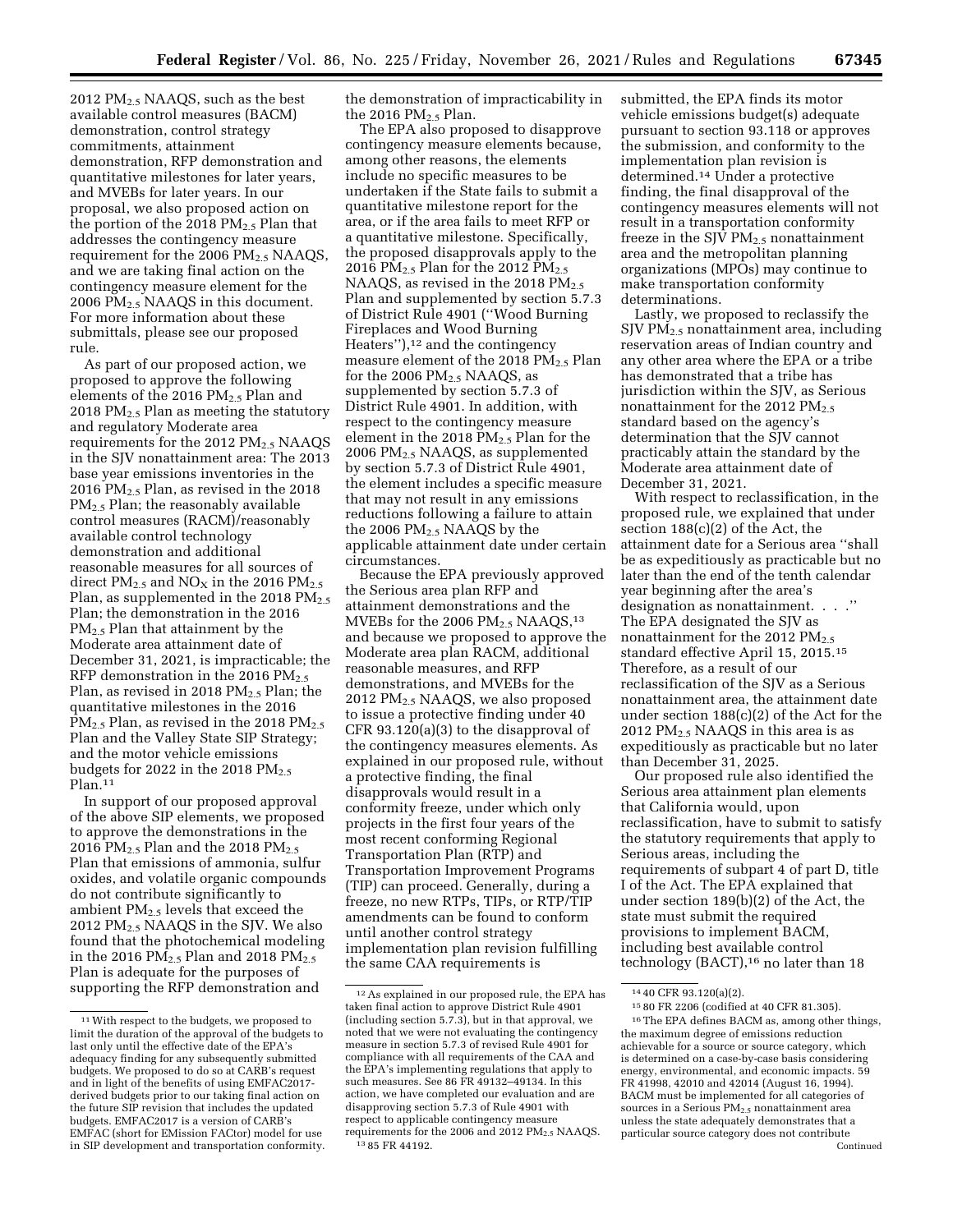2012 PM2.5 NAAQS, such as the best available control measures (BACM) demonstration, control strategy commitments, attainment demonstration, RFP demonstration and quantitative milestones for later years, and MVEBs for later years. In our proposal, we also proposed action on the portion of the 2018  $PM_{2.5}$  Plan that addresses the contingency measure requirement for the  $2006$  PM $_{2.5}$  NAAQS, and we are taking final action on the contingency measure element for the 2006  $PM<sub>2.5</sub> NAAGS$  in this document. For more information about these submittals, please see our proposed rule.

As part of our proposed action, we proposed to approve the following elements of the 2016 PM<sub>2.5</sub> Plan and 2018  $PM<sub>2.5</sub>$  Plan as meeting the statutory and regulatory Moderate area requirements for the 2012 PM<sub>2.5</sub> NAAQS in the SJV nonattainment area: The 2013 base year emissions inventories in the 2016 PM2.5 Plan, as revised in the 2018  $PM_{2.5}$  Plan; the reasonably available control measures (RACM)/reasonably available control technology demonstration and additional reasonable measures for all sources of direct  $PM_{2.5}$  and  $NO<sub>X</sub>$  in the 2016  $PM_{2.5}$ Plan, as supplemented in the 2018  $PM_{2.5}$ Plan; the demonstration in the 2016 PM2.5 Plan that attainment by the Moderate area attainment date of December 31, 2021, is impracticable; the RFP demonstration in the 2016  $PM_{2.5}$ Plan, as revised in 2018  $PM_{2.5}$  Plan; the quantitative milestones in the 2016  $PM_{2.5}$  Plan, as revised in the 2018 PM<sub>2.5</sub> Plan and the Valley State SIP Strategy; and the motor vehicle emissions budgets for 2022 in the 2018  $PM_{2.5}$ Plan.<sup>11</sup>

In support of our proposed approval of the above SIP elements, we proposed to approve the demonstrations in the 2016 PM<sub>2.5</sub> Plan and the 2018 PM<sub>2.5</sub> Plan that emissions of ammonia, sulfur oxides, and volatile organic compounds do not contribute significantly to ambient  $PM_{2.5}$  levels that exceed the 2012 PM2.5 NAAQS in the SJV. We also found that the photochemical modeling in the 2016  $PM_{2.5}$  Plan and 2018  $PM_{2.5}$ Plan is adequate for the purposes of supporting the RFP demonstration and

the demonstration of impracticability in the 2016  $PM<sub>2</sub>$ , Plan.

The EPA also proposed to disapprove contingency measure elements because, among other reasons, the elements include no specific measures to be undertaken if the State fails to submit a quantitative milestone report for the area, or if the area fails to meet RFP or a quantitative milestone. Specifically, the proposed disapprovals apply to the 2016 PM<sub>2.5</sub> Plan for the 2012 PM<sub>2.5</sub> NAAQS, as revised in the 2018  $PM_{2.5}$ Plan and supplemented by section 5.7.3 of District Rule 4901 (''Wood Burning Fireplaces and Wood Burning Heaters''),12 and the contingency measure element of the 2018 PM2.5 Plan for the 2006  $PM<sub>2.5</sub> NAAQS$ , as supplemented by section 5.7.3 of District Rule 4901. In addition, with respect to the contingency measure element in the 2018 PM2.5 Plan for the 2006 PM2.5 NAAQS, as supplemented by section 5.7.3 of District Rule 4901, the element includes a specific measure that may not result in any emissions reductions following a failure to attain the 2006  $PM<sub>2.5</sub>$  NAAQS by the applicable attainment date under certain circumstances.

Because the EPA previously approved the Serious area plan RFP and attainment demonstrations and the MVEBs for the 2006  $PM_{2.5}$  NAAQS,<sup>13</sup> and because we proposed to approve the Moderate area plan RACM, additional reasonable measures, and RFP demonstrations, and MVEBs for the 2012 PM2.5 NAAQS, we also proposed to issue a protective finding under 40 CFR 93.120(a)(3) to the disapproval of the contingency measures elements. As explained in our proposed rule, without a protective finding, the final disapprovals would result in a conformity freeze, under which only projects in the first four years of the most recent conforming Regional Transportation Plan (RTP) and Transportation Improvement Programs (TIP) can proceed. Generally, during a freeze, no new RTPs, TIPs, or RTP/TIP amendments can be found to conform until another control strategy implementation plan revision fulfilling the same CAA requirements is

submitted, the EPA finds its motor vehicle emissions budget(s) adequate pursuant to section 93.118 or approves the submission, and conformity to the implementation plan revision is determined.14 Under a protective finding, the final disapproval of the contingency measures elements will not result in a transportation conformity freeze in the SJV  $PM_{2.5}$  nonattainment area and the metropolitan planning organizations (MPOs) may continue to make transportation conformity determinations.

Lastly, we proposed to reclassify the SJV PM2.5 nonattainment area, including reservation areas of Indian country and any other area where the EPA or a tribe has demonstrated that a tribe has jurisdiction within the SJV, as Serious nonattainment for the 2012  $PM_{2.5}$ standard based on the agency's determination that the SJV cannot practicably attain the standard by the Moderate area attainment date of December 31, 2021.

With respect to reclassification, in the proposed rule, we explained that under section 188(c)(2) of the Act, the attainment date for a Serious area ''shall be as expeditiously as practicable but no later than the end of the tenth calendar year beginning after the area's designation as nonattainment. . . .'' The EPA designated the SJV as nonattainment for the 2012 PM<sub>2.5</sub> standard effective April 15, 2015.15 Therefore, as a result of our reclassification of the SJV as a Serious nonattainment area, the attainment date under section 188(c)(2) of the Act for the 2012  $PM<sub>2.5</sub> NAAQS$  in this area is as expeditiously as practicable but no later than December 31, 2025.

Our proposed rule also identified the Serious area attainment plan elements that California would, upon reclassification, have to submit to satisfy the statutory requirements that apply to Serious areas, including the requirements of subpart 4 of part D, title I of the Act. The EPA explained that under section 189(b)(2) of the Act, the state must submit the required provisions to implement BACM, including best available control technology (BACT),<sup>16</sup> no later than 18

<sup>11</sup>With respect to the budgets, we proposed to limit the duration of the approval of the budgets to last only until the effective date of the EPA's adequacy finding for any subsequently submitted budgets. We proposed to do so at CARB's request and in light of the benefits of using EMFAC2017 derived budgets prior to our taking final action on the future SIP revision that includes the updated budgets. EMFAC2017 is a version of CARB's EMFAC (short for EMission FACtor) model for use in SIP development and transportation conformity.

<sup>12</sup>As explained in our proposed rule, the EPA has taken final action to approve District Rule 4901 (including section 5.7.3), but in that approval, we noted that we were not evaluating the contingency measure in section 5.7.3 of revised Rule 4901 for compliance with all requirements of the CAA and the EPA's implementing regulations that apply to such measures. See 86 FR 49132–49134. In this action, we have completed our evaluation and are disapproving section 5.7.3 of Rule 4901 with respect to applicable contingency measure requirements for the 2006 and 2012  $PM<sub>2.5</sub> NAAQS$ . 13 85 FR 44192.

<sup>14</sup> 40 CFR 93.120(a)(2).

<sup>15</sup> 80 FR 2206 (codified at 40 CFR 81.305).

<sup>16</sup>The EPA defines BACM as, among other things, the maximum degree of emissions reduction achievable for a source or source category, which is determined on a case-by-case basis considering energy, environmental, and economic impacts. 59 FR 41998, 42010 and 42014 (August 16, 1994). BACM must be implemented for all categories of sources in a Serious  $PM_{2.5}$  nonattainment area unless the state adequately demonstrates that a particular source category does not contribute Continued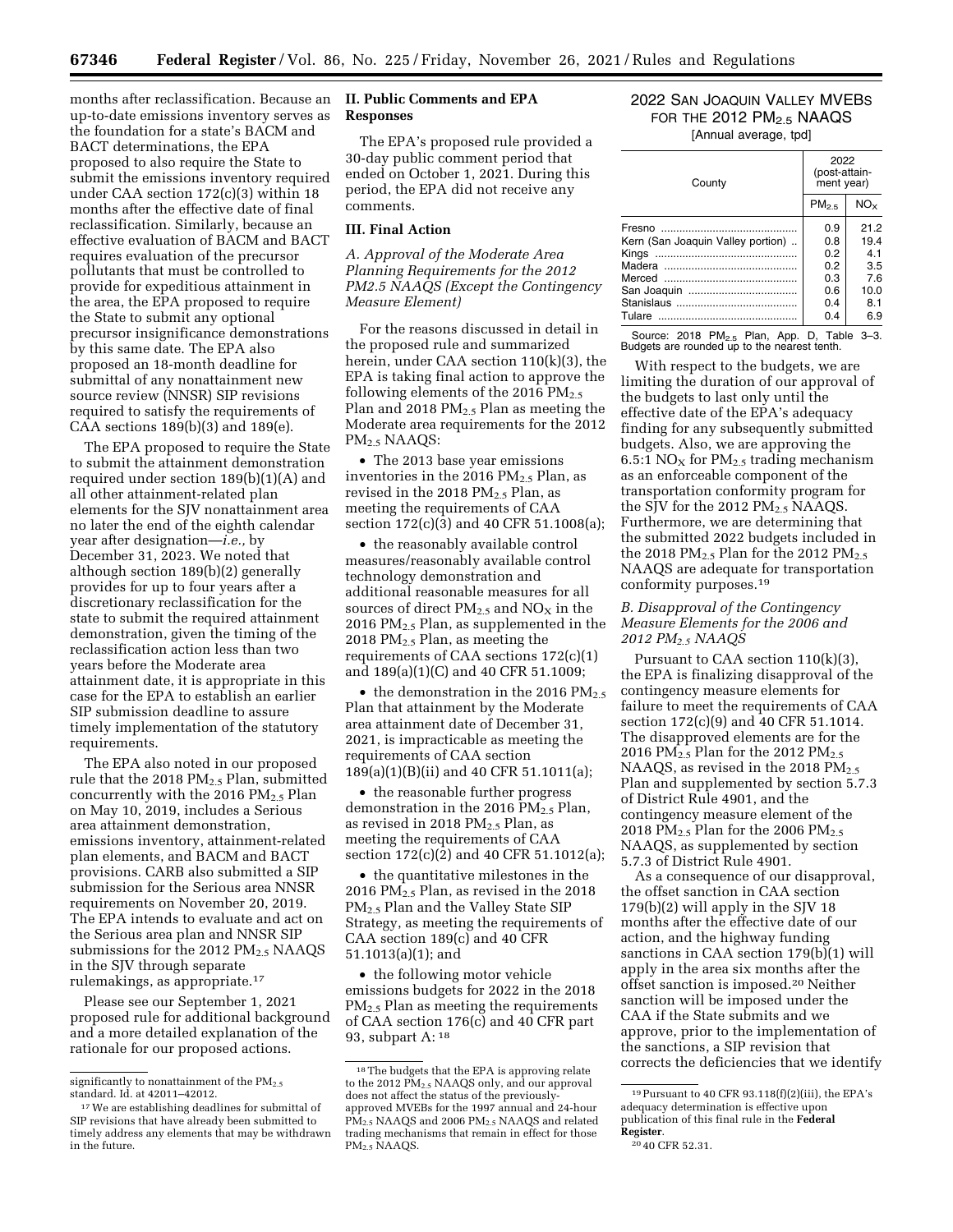months after reclassification. Because an **II. Public Comments and EPA**  up-to-date emissions inventory serves as the foundation for a state's BACM and BACT determinations, the EPA proposed to also require the State to submit the emissions inventory required under CAA section 172(c)(3) within 18 months after the effective date of final reclassification. Similarly, because an effective evaluation of BACM and BACT requires evaluation of the precursor pollutants that must be controlled to provide for expeditious attainment in the area, the EPA proposed to require the State to submit any optional precursor insignificance demonstrations by this same date. The EPA also proposed an 18-month deadline for submittal of any nonattainment new source review (NNSR) SIP revisions required to satisfy the requirements of CAA sections 189(b)(3) and 189(e).

The EPA proposed to require the State to submit the attainment demonstration required under section 189(b)(1)(A) and all other attainment-related plan elements for the SJV nonattainment area no later the end of the eighth calendar year after designation—*i.e.,* by December 31, 2023. We noted that although section 189(b)(2) generally provides for up to four years after a discretionary reclassification for the state to submit the required attainment demonstration, given the timing of the reclassification action less than two years before the Moderate area attainment date, it is appropriate in this case for the EPA to establish an earlier SIP submission deadline to assure timely implementation of the statutory requirements.

The EPA also noted in our proposed rule that the 2018  $PM_{2.5}$  Plan, submitted concurrently with the 2016  $PM_{2.5}$  Plan on May 10, 2019, includes a Serious area attainment demonstration, emissions inventory, attainment-related plan elements, and BACM and BACT provisions. CARB also submitted a SIP submission for the Serious area NNSR requirements on November 20, 2019. The EPA intends to evaluate and act on the Serious area plan and NNSR SIP submissions for the 2012 PM<sub>2.5</sub> NAAQS in the SJV through separate rulemakings, as appropriate.17

Please see our September 1, 2021 proposed rule for additional background and a more detailed explanation of the rationale for our proposed actions.

# **Responses**

The EPA's proposed rule provided a 30-day public comment period that ended on October 1, 2021. During this period, the EPA did not receive any comments.

#### **III. Final Action**

*A. Approval of the Moderate Area Planning Requirements for the 2012 PM2.5 NAAQS (Except the Contingency Measure Element)* 

For the reasons discussed in detail in the proposed rule and summarized herein, under CAA section 110(k)(3), the EPA is taking final action to approve the following elements of the 2016  $PM_{2.5}$ Plan and 2018  $PM<sub>2.5</sub>$  Plan as meeting the Moderate area requirements for the 2012 PM2.5 NAAQS:

• The 2013 base year emissions inventories in the 2016  $PM_{2.5}$  Plan, as revised in the 2018  $PM_{2.5}$  Plan, as meeting the requirements of CAA section 172(c)(3) and 40 CFR 51.1008(a);

• the reasonably available control measures/reasonably available control technology demonstration and additional reasonable measures for all sources of direct  $PM_{2.5}$  and  $NO<sub>X</sub>$  in the 2016  $PM<sub>2.5</sub>$  Plan, as supplemented in the 2018  $PM<sub>2.5</sub>$  Plan, as meeting the requirements of CAA sections 172(c)(1) and 189(a)(1)(C) and 40 CFR 51.1009;

 $\bullet$  the demonstration in the 2016 PM<sub>2.5</sub> Plan that attainment by the Moderate area attainment date of December 31, 2021, is impracticable as meeting the requirements of CAA section 189(a)(1)(B)(ii) and 40 CFR 51.1011(a);

• the reasonable further progress demonstration in the 2016  $PM_{2.5}$  Plan, as revised in 2018  $PM_{2.5}$  Plan, as meeting the requirements of CAA section 172(c)(2) and 40 CFR 51.1012(a);

• the quantitative milestones in the 2016 PM $_{2.5}$  Plan, as revised in the 2018 PM<sub>2.5</sub> Plan and the Valley State SIP Strategy, as meeting the requirements of CAA section 189(c) and 40 CFR 51.1013(a)(1); and

• the following motor vehicle emissions budgets for 2022 in the 2018  $PM<sub>2</sub>$ , Plan as meeting the requirements of CAA section 176(c) and 40 CFR part 93, subpart A: 18

## 2022 SAN JOAQUIN VALLEY MVEBS FOR THE  $2012$  PM $_{2.5}$  NAAQS [Annual average, tpd]

| County                            | 2022<br>(post-attain-<br>ment year) |                 |
|-----------------------------------|-------------------------------------|-----------------|
|                                   | PM <sub>2.5</sub>                   | NO <sub>x</sub> |
|                                   | 0.9                                 | 212             |
| Kern (San Joaquin Valley portion) | 0.8                                 | 194             |
|                                   | 0.2                                 | 41              |
|                                   | 0.2                                 | 35              |
|                                   | 0.3                                 | 7.6             |
|                                   | 0.6                                 | 10.0            |
|                                   | 0.4                                 | 81              |
| Tulare                            | 0.4                                 | 6.9             |

Source: 2018 PM<sub>2.5</sub> Plan, App. D, Table 3-3. Budgets are rounded up to the nearest tenth.

With respect to the budgets, we are limiting the duration of our approval of the budgets to last only until the effective date of the EPA's adequacy finding for any subsequently submitted budgets. Also, we are approving the 6.5:1 NO<sub>X</sub> for  $PM_{2.5}$  trading mechanism as an enforceable component of the transportation conformity program for the SJV for the 2012  $PM<sub>2.5</sub> NAAQS$ . Furthermore, we are determining that the submitted 2022 budgets included in the 2018 PM $_{2.5}$  Plan for the 2012 PM $_{2.5}$ NAAQS are adequate for transportation conformity purposes.19

## *B. Disapproval of the Contingency Measure Elements for the 2006 and 2012 PM2.5 NAAQS*

Pursuant to CAA section 110(k)(3), the EPA is finalizing disapproval of the contingency measure elements for failure to meet the requirements of CAA section 172(c)(9) and 40 CFR 51.1014. The disapproved elements are for the 2016 PM<sub>2.5</sub> Plan for the 2012 PM<sub>2.5</sub> NAAQS, as revised in the 2018 PM<sub>2.5</sub> Plan and supplemented by section 5.7.3 of District Rule 4901, and the contingency measure element of the 2018  $\text{PM}_{2.5}$  Plan for the 2006  $\text{PM}_{2.5}$ NAAQS, as supplemented by section 5.7.3 of District Rule 4901.

As a consequence of our disapproval, the offset sanction in CAA section  $179(b)(2)$  will apply in the SJV 18 months after the effective date of our action, and the highway funding sanctions in CAA section 179(b)(1) will apply in the area six months after the offset sanction is imposed.20 Neither sanction will be imposed under the CAA if the State submits and we approve, prior to the implementation of the sanctions, a SIP revision that corrects the deficiencies that we identify

significantly to nonattainment of the  $\text{PM}_{2.5}$ standard. Id. at 42011–42012.

<sup>17</sup>We are establishing deadlines for submittal of SIP revisions that have already been submitted to timely address any elements that may be withdrawn in the future.

<sup>18</sup>The budgets that the EPA is approving relate to the 2012 PM<sub>2.5</sub> NAAQS only, and our approval does not affect the status of the previouslyapproved MVEBs for the 1997 annual and 24-hour PM<sub>2.5</sub> NAAQS and 2006 PM<sub>2.5</sub> NAAQS and related trading mechanisms that remain in effect for those PM<sub>2.5</sub> NAAQS.

<sup>19</sup>Pursuant to 40 CFR 93.118(f)(2)(iii), the EPA's adequacy determination is effective upon publication of this final rule in the **Federal Register**. 20 40 CFR 52.31.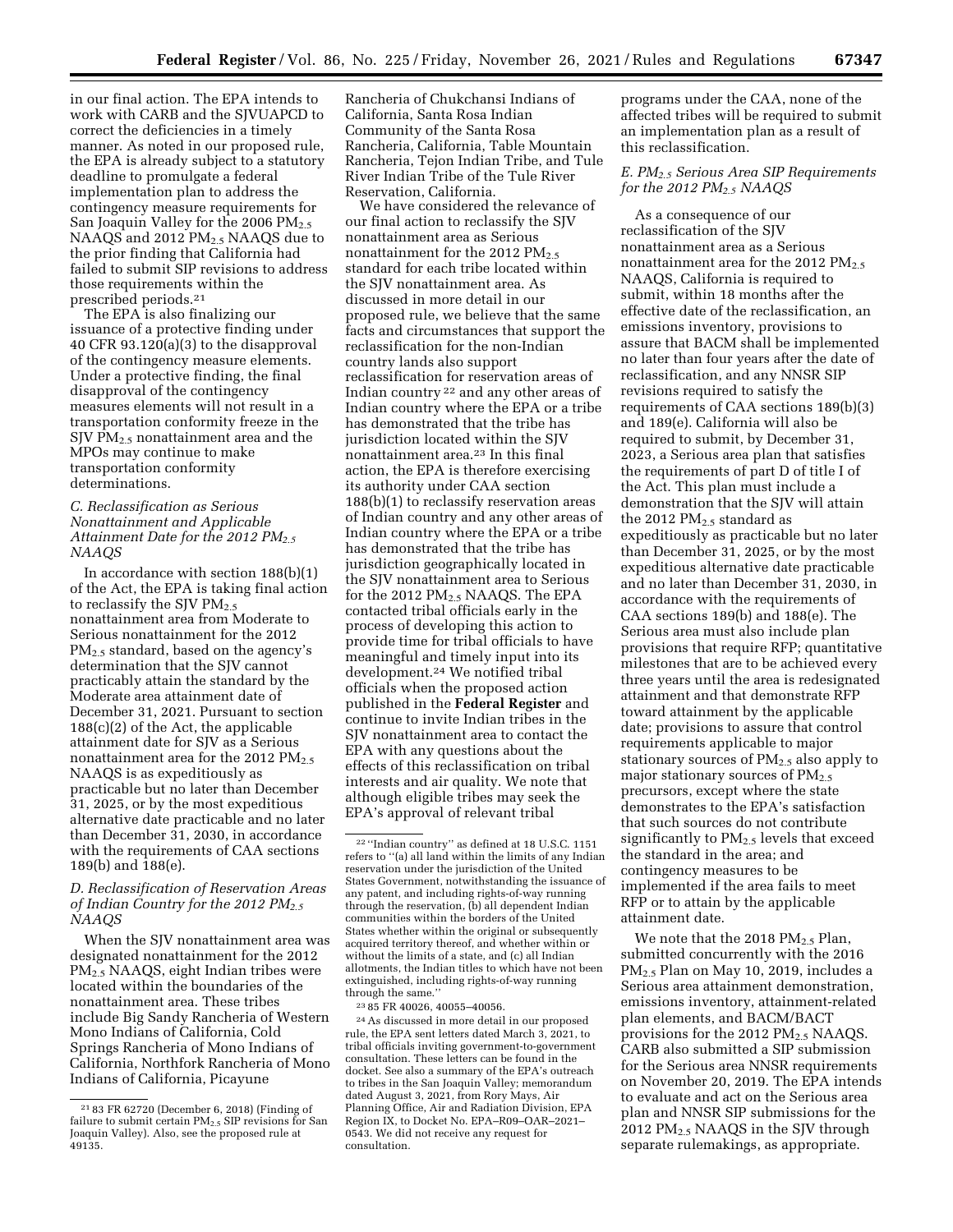in our final action. The EPA intends to work with CARB and the SJVUAPCD to correct the deficiencies in a timely manner. As noted in our proposed rule, the EPA is already subject to a statutory deadline to promulgate a federal implementation plan to address the contingency measure requirements for San Joaquin Valley for the 2006  $PM_{2.5}$ NAAQS and 2012 PM<sub>2.5</sub> NAAQS due to the prior finding that California had failed to submit SIP revisions to address those requirements within the prescribed periods.21

The EPA is also finalizing our issuance of a protective finding under 40 CFR 93.120(a)(3) to the disapproval of the contingency measure elements. Under a protective finding, the final disapproval of the contingency measures elements will not result in a transportation conformity freeze in the SJV PM2.5 nonattainment area and the MPOs may continue to make transportation conformity determinations.

## *C. Reclassification as Serious Nonattainment and Applicable Attainment Date for the 2012 PM2.5 NAAQS*

In accordance with section 188(b)(1) of the Act, the EPA is taking final action to reclassify the SJV  $PM_{2.5}$ nonattainment area from Moderate to Serious nonattainment for the 2012 PM2.5 standard, based on the agency's determination that the SJV cannot practicably attain the standard by the Moderate area attainment date of December 31, 2021. Pursuant to section 188(c)(2) of the Act, the applicable attainment date for SJV as a Serious nonattainment area for the 2012  $PM_{2.5}$ NAAQS is as expeditiously as practicable but no later than December 31, 2025, or by the most expeditious alternative date practicable and no later than December 31, 2030, in accordance with the requirements of CAA sections 189(b) and 188(e).

## *D. Reclassification of Reservation Areas of Indian Country for the 2012 PM2.5 NAAQS*

When the SJV nonattainment area was designated nonattainment for the 2012 PM2.5 NAAQS, eight Indian tribes were located within the boundaries of the nonattainment area. These tribes include Big Sandy Rancheria of Western Mono Indians of California, Cold Springs Rancheria of Mono Indians of California, Northfork Rancheria of Mono Indians of California, Picayune

Rancheria of Chukchansi Indians of California, Santa Rosa Indian Community of the Santa Rosa Rancheria, California, Table Mountain Rancheria, Tejon Indian Tribe, and Tule River Indian Tribe of the Tule River Reservation, California.

We have considered the relevance of our final action to reclassify the SJV nonattainment area as Serious nonattainment for the 2012  $PM_{2.5}$ standard for each tribe located within the SJV nonattainment area. As discussed in more detail in our proposed rule, we believe that the same facts and circumstances that support the reclassification for the non-Indian country lands also support reclassification for reservation areas of Indian country 22 and any other areas of Indian country where the EPA or a tribe has demonstrated that the tribe has jurisdiction located within the SJV nonattainment area.23 In this final action, the EPA is therefore exercising its authority under CAA section 188(b)(1) to reclassify reservation areas of Indian country and any other areas of Indian country where the EPA or a tribe has demonstrated that the tribe has jurisdiction geographically located in the SJV nonattainment area to Serious for the 2012  $PM_{2.5}$  NAAQS. The EPA contacted tribal officials early in the process of developing this action to provide time for tribal officials to have meaningful and timely input into its development.24 We notified tribal officials when the proposed action published in the **Federal Register** and continue to invite Indian tribes in the SJV nonattainment area to contact the EPA with any questions about the effects of this reclassification on tribal interests and air quality. We note that although eligible tribes may seek the EPA's approval of relevant tribal

23 85 FR 40026, 40055–40056.

24As discussed in more detail in our proposed rule, the EPA sent letters dated March 3, 2021, to tribal officials inviting government-to-government consultation. These letters can be found in the docket. See also a summary of the EPA's outreach to tribes in the San Joaquin Valley; memorandum dated August 3, 2021, from Rory Mays, Air Planning Office, Air and Radiation Division, EPA Region IX, to Docket No. EPA–R09–OAR–2021– 0543. We did not receive any request for consultation.

programs under the CAA, none of the affected tribes will be required to submit an implementation plan as a result of this reclassification.

## *E. PM2.5 Serious Area SIP Requirements for the 2012 PM2.5 NAAQS*

As a consequence of our reclassification of the SJV nonattainment area as a Serious nonattainment area for the 2012 PM<sub>2.5</sub> NAAQS, California is required to submit, within 18 months after the effective date of the reclassification, an emissions inventory, provisions to assure that BACM shall be implemented no later than four years after the date of reclassification, and any NNSR SIP revisions required to satisfy the requirements of CAA sections 189(b)(3) and 189(e). California will also be required to submit, by December 31, 2023, a Serious area plan that satisfies the requirements of part D of title I of the Act. This plan must include a demonstration that the SJV will attain the 2012  $PM<sub>2.5</sub>$  standard as expeditiously as practicable but no later than December 31, 2025, or by the most expeditious alternative date practicable and no later than December 31, 2030, in accordance with the requirements of CAA sections 189(b) and 188(e). The Serious area must also include plan provisions that require RFP; quantitative milestones that are to be achieved every three years until the area is redesignated attainment and that demonstrate RFP toward attainment by the applicable date; provisions to assure that control requirements applicable to major stationary sources of  $PM_{2.5}$  also apply to major stationary sources of  $PM_{2.5}$ precursors, except where the state demonstrates to the EPA's satisfaction that such sources do not contribute significantly to PM2.5 levels that exceed the standard in the area; and contingency measures to be implemented if the area fails to meet RFP or to attain by the applicable attainment date.

We note that the 2018  $PM_{2.5}$  Plan, submitted concurrently with the 2016 PM2.5 Plan on May 10, 2019, includes a Serious area attainment demonstration, emissions inventory, attainment-related plan elements, and BACM/BACT provisions for the 2012  $PM<sub>2.5</sub> NAAQS$ . CARB also submitted a SIP submission for the Serious area NNSR requirements on November 20, 2019. The EPA intends to evaluate and act on the Serious area plan and NNSR SIP submissions for the 2012 PM<sub>2.5</sub> NAAQS in the SJV through separate rulemakings, as appropriate.

<sup>21</sup> 83 FR 62720 (December 6, 2018) (Finding of failure to submit certain  $PM_{2.5}$  SIP revisions for San Joaquin Valley). Also, see the proposed rule at 49135.

<sup>22</sup> ''Indian country'' as defined at 18 U.S.C. 1151 refers to ''(a) all land within the limits of any Indian reservation under the jurisdiction of the United States Government, notwithstanding the issuance of any patent, and including rights-of-way running through the reservation, (b) all dependent Indian communities within the borders of the United States whether within the original or subsequently acquired territory thereof, and whether within or without the limits of a state, and (c) all Indian allotments, the Indian titles to which have not been extinguished, including rights-of-way running through the same.''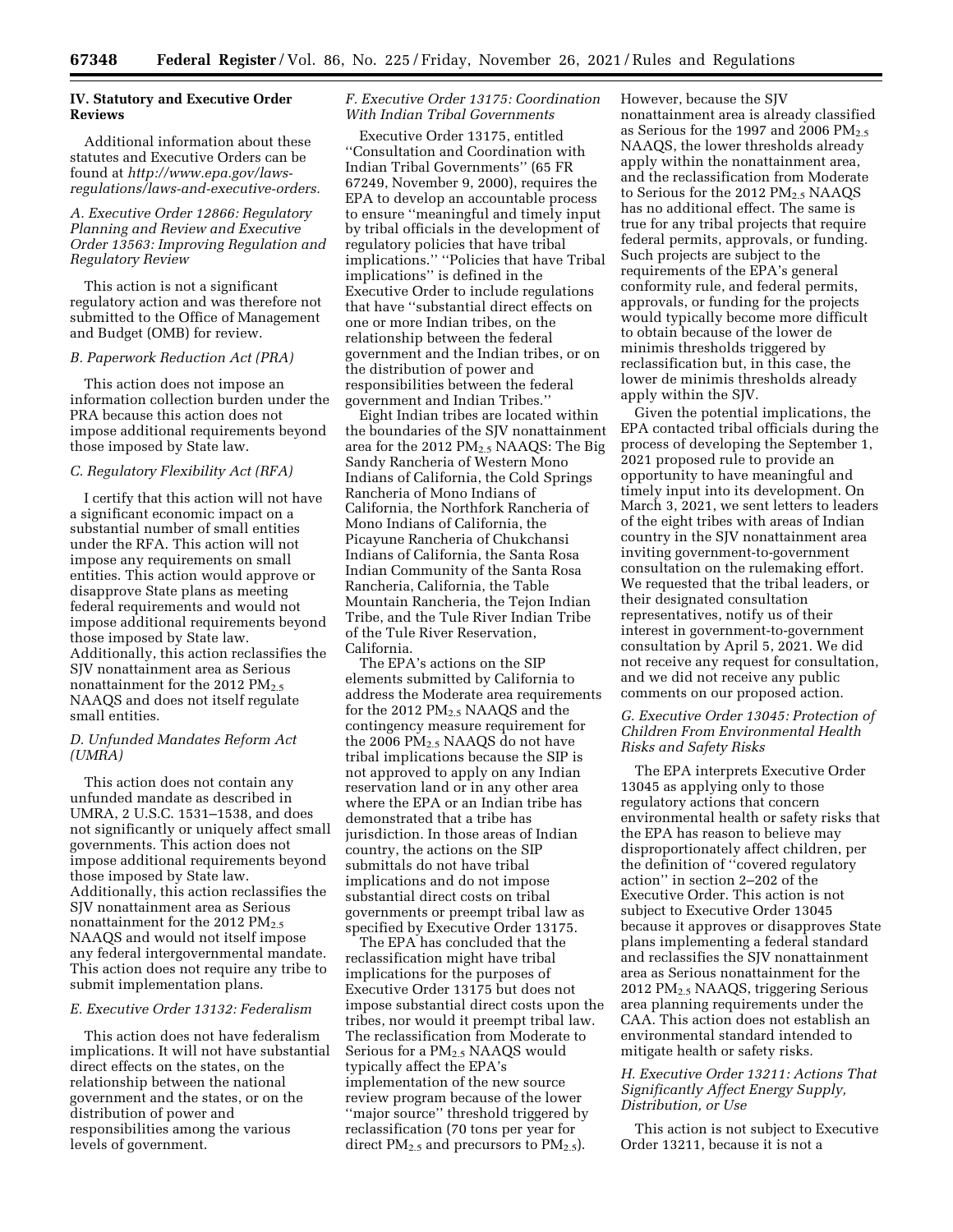## **IV. Statutory and Executive Order Reviews**

Additional information about these statutes and Executive Orders can be found at *[http://www.epa.gov/laws](http://www.epa.gov/laws-regulations/laws-and-executive-orders)[regulations/laws-and-executive-orders.](http://www.epa.gov/laws-regulations/laws-and-executive-orders)* 

*A. Executive Order 12866: Regulatory Planning and Review and Executive Order 13563: Improving Regulation and Regulatory Review* 

This action is not a significant regulatory action and was therefore not submitted to the Office of Management and Budget (OMB) for review.

#### *B. Paperwork Reduction Act (PRA)*

This action does not impose an information collection burden under the PRA because this action does not impose additional requirements beyond those imposed by State law.

## *C. Regulatory Flexibility Act (RFA)*

I certify that this action will not have a significant economic impact on a substantial number of small entities under the RFA. This action will not impose any requirements on small entities. This action would approve or disapprove State plans as meeting federal requirements and would not impose additional requirements beyond those imposed by State law. Additionally, this action reclassifies the SJV nonattainment area as Serious nonattainment for the 2012  $PM_{2.5}$ NAAQS and does not itself regulate small entities.

#### *D. Unfunded Mandates Reform Act (UMRA)*

This action does not contain any unfunded mandate as described in UMRA, 2 U.S.C. 1531–1538, and does not significantly or uniquely affect small governments. This action does not impose additional requirements beyond those imposed by State law. Additionally, this action reclassifies the SJV nonattainment area as Serious nonattainment for the 2012  $PM_{2.5}$ NAAQS and would not itself impose any federal intergovernmental mandate. This action does not require any tribe to submit implementation plans.

#### *E. Executive Order 13132: Federalism*

This action does not have federalism implications. It will not have substantial direct effects on the states, on the relationship between the national government and the states, or on the distribution of power and responsibilities among the various levels of government.

#### *F. Executive Order 13175: Coordination With Indian Tribal Governments*

Executive Order 13175, entitled ''Consultation and Coordination with Indian Tribal Governments'' (65 FR 67249, November 9, 2000), requires the EPA to develop an accountable process to ensure ''meaningful and timely input by tribal officials in the development of regulatory policies that have tribal implications.'' ''Policies that have Tribal implications'' is defined in the Executive Order to include regulations that have ''substantial direct effects on one or more Indian tribes, on the relationship between the federal government and the Indian tribes, or on the distribution of power and responsibilities between the federal government and Indian Tribes.''

Eight Indian tribes are located within the boundaries of the SJV nonattainment area for the 2012  $PM_{2.5}$  NAAQS: The Big Sandy Rancheria of Western Mono Indians of California, the Cold Springs Rancheria of Mono Indians of California, the Northfork Rancheria of Mono Indians of California, the Picayune Rancheria of Chukchansi Indians of California, the Santa Rosa Indian Community of the Santa Rosa Rancheria, California, the Table Mountain Rancheria, the Tejon Indian Tribe, and the Tule River Indian Tribe of the Tule River Reservation, California.

The EPA's actions on the SIP elements submitted by California to address the Moderate area requirements for the 2012  $PM_{2.5}$  NAAQS and the contingency measure requirement for the 2006 PM2.5 NAAQS do not have tribal implications because the SIP is not approved to apply on any Indian reservation land or in any other area where the EPA or an Indian tribe has demonstrated that a tribe has jurisdiction. In those areas of Indian country, the actions on the SIP submittals do not have tribal implications and do not impose substantial direct costs on tribal governments or preempt tribal law as specified by Executive Order 13175.

The EPA has concluded that the reclassification might have tribal implications for the purposes of Executive Order 13175 but does not impose substantial direct costs upon the tribes, nor would it preempt tribal law. The reclassification from Moderate to Serious for a PM2.5 NAAQS would typically affect the EPA's implementation of the new source review program because of the lower ''major source'' threshold triggered by reclassification (70 tons per year for direct  $PM_{2.5}$  and precursors to  $PM_{2.5}$ ).

However, because the SJV nonattainment area is already classified as Serious for the 1997 and 2006  $PM_{2.5}$ NAAQS, the lower thresholds already apply within the nonattainment area, and the reclassification from Moderate to Serious for the 2012 PM<sub>2.5</sub> NAAQS has no additional effect. The same is true for any tribal projects that require federal permits, approvals, or funding. Such projects are subject to the requirements of the EPA's general conformity rule, and federal permits, approvals, or funding for the projects would typically become more difficult to obtain because of the lower de minimis thresholds triggered by reclassification but, in this case, the lower de minimis thresholds already apply within the SJV.

Given the potential implications, the EPA contacted tribal officials during the process of developing the September 1, 2021 proposed rule to provide an opportunity to have meaningful and timely input into its development. On March 3, 2021, we sent letters to leaders of the eight tribes with areas of Indian country in the SJV nonattainment area inviting government-to-government consultation on the rulemaking effort. We requested that the tribal leaders, or their designated consultation representatives, notify us of their interest in government-to-government consultation by April 5, 2021. We did not receive any request for consultation, and we did not receive any public comments on our proposed action.

## *G. Executive Order 13045: Protection of Children From Environmental Health Risks and Safety Risks*

The EPA interprets Executive Order 13045 as applying only to those regulatory actions that concern environmental health or safety risks that the EPA has reason to believe may disproportionately affect children, per the definition of ''covered regulatory action'' in section 2–202 of the Executive Order. This action is not subject to Executive Order 13045 because it approves or disapproves State plans implementing a federal standard and reclassifies the SJV nonattainment area as Serious nonattainment for the 2012 PM2.5 NAAQS, triggering Serious area planning requirements under the CAA. This action does not establish an environmental standard intended to mitigate health or safety risks.

## *H. Executive Order 13211: Actions That Significantly Affect Energy Supply, Distribution, or Use*

This action is not subject to Executive Order 13211, because it is not a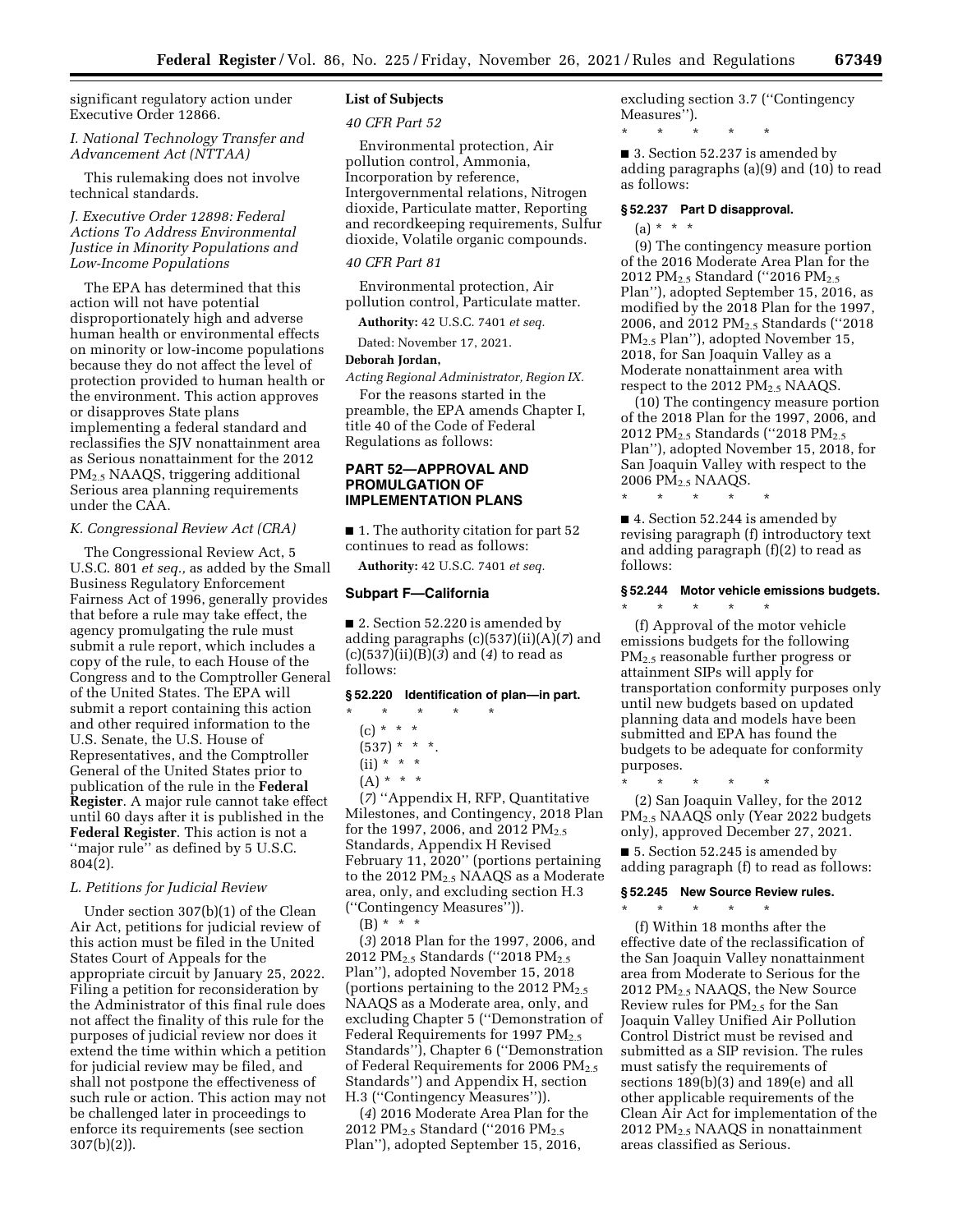significant regulatory action under Executive Order 12866.

*I. National Technology Transfer and Advancement Act (NTTAA)* 

This rulemaking does not involve technical standards.

## *J. Executive Order 12898: Federal Actions To Address Environmental Justice in Minority Populations and Low-Income Populations*

The EPA has determined that this action will not have potential disproportionately high and adverse human health or environmental effects on minority or low-income populations because they do not affect the level of protection provided to human health or the environment. This action approves or disapproves State plans implementing a federal standard and reclassifies the SJV nonattainment area as Serious nonattainment for the 2012 PM2.5 NAAQS, triggering additional Serious area planning requirements under the CAA.

#### *K. Congressional Review Act (CRA)*

The Congressional Review Act, 5 U.S.C. 801 *et seq.,* as added by the Small Business Regulatory Enforcement Fairness Act of 1996, generally provides that before a rule may take effect, the agency promulgating the rule must submit a rule report, which includes a copy of the rule, to each House of the Congress and to the Comptroller General of the United States. The EPA will submit a report containing this action and other required information to the U.S. Senate, the U.S. House of Representatives, and the Comptroller General of the United States prior to publication of the rule in the **Federal Register**. A major rule cannot take effect until 60 days after it is published in the **Federal Register**. This action is not a ''major rule'' as defined by 5 U.S.C. 804(2).

#### *L. Petitions for Judicial Review*

Under section 307(b)(1) of the Clean Air Act, petitions for judicial review of this action must be filed in the United States Court of Appeals for the appropriate circuit by January 25, 2022. Filing a petition for reconsideration by the Administrator of this final rule does not affect the finality of this rule for the purposes of judicial review nor does it extend the time within which a petition for judicial review may be filed, and shall not postpone the effectiveness of such rule or action. This action may not be challenged later in proceedings to enforce its requirements (see section 307(b)(2)).

# **List of Subjects**

#### *40 CFR Part 52*

Environmental protection, Air pollution control, Ammonia, Incorporation by reference, Intergovernmental relations, Nitrogen dioxide, Particulate matter, Reporting and recordkeeping requirements, Sulfur dioxide, Volatile organic compounds.

## *40 CFR Part 81*

Environmental protection, Air pollution control, Particulate matter.

**Authority:** 42 U.S.C. 7401 *et seq.* 

Dated: November 17, 2021.

#### **Deborah Jordan,**

*Acting Regional Administrator, Region IX.* 

For the reasons started in the preamble, the EPA amends Chapter I, title 40 of the Code of Federal Regulations as follows:

## **PART 52—APPROVAL AND PROMULGATION OF IMPLEMENTATION PLANS**

■ 1. The authority citation for part 52 continues to read as follows:

**Authority:** 42 U.S.C. 7401 *et seq.* 

#### **Subpart F—California**

■ 2. Section 52.220 is amended by adding paragraphs (c)(537)(ii)(A)(*7*) and (c)(537)(ii)(B)(*3*) and (*4*) to read as follows:

# **§ 52.220 Identification of plan—in part.**

- \* \* \* \* \*
- (c) \* \* \*
- $(537)$  \* \* \*.
- $(ii) * * * *$
- $(A) * * * *$

(*7*) ''Appendix H, RFP, Quantitative Milestones, and Contingency, 2018 Plan for the 1997, 2006, and 2012  $PM_{2.5}$ Standards, Appendix H Revised February 11, 2020'' (portions pertaining to the 2012 PM<sub>2.5</sub> NAAQS as a Moderate area, only, and excluding section H.3 (''Contingency Measures'')).

 $(B) * * * *$ 

(*3*) 2018 Plan for the 1997, 2006, and 2012 PM<sub>2.5</sub> Standards ("2018 PM<sub>2.5</sub> Plan''), adopted November 15, 2018 (portions pertaining to the 2012  $PM_{2.5}$ NAAQS as a Moderate area, only, and excluding Chapter 5 (''Demonstration of Federal Requirements for 1997  $PM_{2.5}$ Standards''), Chapter 6 (''Demonstration of Federal Requirements for 2006  $PM_{2.5}$ Standards'') and Appendix H, section H.3 (''Contingency Measures'')).

(*4*) 2016 Moderate Area Plan for the 2012 PM<sub>2.5</sub> Standard ("2016 PM<sub>2.5</sub> Plan''), adopted September 15, 2016,

excluding section 3.7 (''Contingency Measures''). \* \* \* \* \*

■ 3. Section 52.237 is amended by adding paragraphs (a)(9) and (10) to read as follows:

#### **§ 52.237 Part D disapproval.**

(a) \* \* \*

(9) The contingency measure portion of the 2016 Moderate Area Plan for the 2012 PM<sub>2.5</sub> Standard ("2016 PM<sub>2.5</sub> Plan''), adopted September 15, 2016, as modified by the 2018 Plan for the 1997, 2006, and 2012 PM<sub>2.5</sub> Standards ("2018 PM2.5 Plan''), adopted November 15, 2018, for San Joaquin Valley as a Moderate nonattainment area with respect to the 2012 PM<sub>2.5</sub> NAAQS.

(10) The contingency measure portion of the 2018 Plan for the 1997, 2006, and 2012 PM<sub>2.5</sub> Standards ("2018 PM<sub>2.5</sub> Plan''), adopted November 15, 2018, for San Joaquin Valley with respect to the 2006 PM2.5 NAAQS.

\* \* \* \* \*

■ 4. Section 52.244 is amended by revising paragraph (f) introductory text and adding paragraph (f)(2) to read as follows:

# **§ 52.244 Motor vehicle emissions budgets.**

\* \* \* \* \*

(f) Approval of the motor vehicle emissions budgets for the following PM<sub>2.5</sub> reasonable further progress or attainment SIPs will apply for transportation conformity purposes only until new budgets based on updated planning data and models have been submitted and EPA has found the budgets to be adequate for conformity purposes.

\* \* \* \* \*

\* \* \* \* \*

(2) San Joaquin Valley, for the 2012 PM2.5 NAAQS only (Year 2022 budgets only), approved December 27, 2021.

■ 5. Section 52.245 is amended by adding paragraph (f) to read as follows:

#### **§ 52.245 New Source Review rules.**

(f) Within 18 months after the effective date of the reclassification of the San Joaquin Valley nonattainment area from Moderate to Serious for the 2012 PM2.5 NAAQS, the New Source Review rules for PM2.5 for the San Joaquin Valley Unified Air Pollution Control District must be revised and submitted as a SIP revision. The rules must satisfy the requirements of sections 189(b)(3) and 189(e) and all other applicable requirements of the Clean Air Act for implementation of the 2012 PM2.5 NAAQS in nonattainment areas classified as Serious.